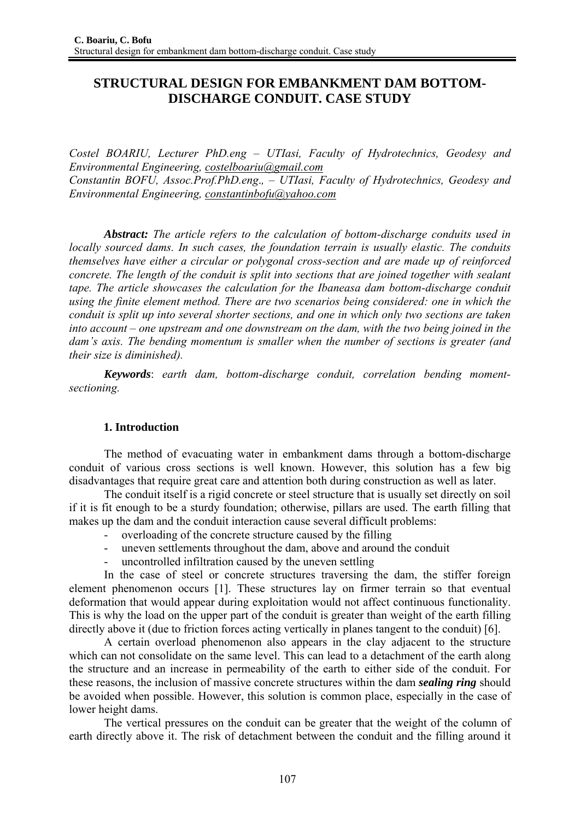# **STRUCTURAL DESIGN FOR EMBANKMENT DAM BOTTOM-DISCHARGE CONDUIT. CASE STUDY**

*Costel BOARIU, Lecturer PhD.eng – UTIasi, Faculty of Hydrotechnics, Geodesy and Environmental Engineering, costelboariu@gmail.com Constantin BOFU, Assoc.Prof.PhD.eng*.*, – UTIasi, Faculty of Hydrotechnics, Geodesy and Environmental Engineering, constantinbofu@yahoo.com*

*Abstract: The article refers to the calculation of bottom-discharge conduits used in locally sourced dams. In such cases, the foundation terrain is usually elastic. The conduits themselves have either a circular or polygonal cross-section and are made up of reinforced concrete. The length of the conduit is split into sections that are joined together with sealant tape. The article showcases the calculation for the Ibaneasa dam bottom-discharge conduit using the finite element method. There are two scenarios being considered: one in which the conduit is split up into several shorter sections, and one in which only two sections are taken into account – one upstream and one downstream on the dam, with the two being joined in the dam's axis. The bending momentum is smaller when the number of sections is greater (and their size is diminished).* 

 *Keywords*: *earth dam, bottom-discharge conduit, correlation bending momentsectioning.* 

## **1. Introduction**

 The method of evacuating water in embankment dams through a bottom-discharge conduit of various cross sections is well known. However, this solution has a few big disadvantages that require great care and attention both during construction as well as later.

 The conduit itself is a rigid concrete or steel structure that is usually set directly on soil if it is fit enough to be a sturdy foundation; otherwise, pillars are used. The earth filling that makes up the dam and the conduit interaction cause several difficult problems:

- overloading of the concrete structure caused by the filling
- uneven settlements throughout the dam, above and around the conduit
- uncontrolled infiltration caused by the uneven settling

 In the case of steel or concrete structures traversing the dam, the stiffer foreign element phenomenon occurs [1]. These structures lay on firmer terrain so that eventual deformation that would appear during exploitation would not affect continuous functionality. This is why the load on the upper part of the conduit is greater than weight of the earth filling directly above it (due to friction forces acting vertically in planes tangent to the conduit) [6].

 A certain overload phenomenon also appears in the clay adjacent to the structure which can not consolidate on the same level. This can lead to a detachment of the earth along the structure and an increase in permeability of the earth to either side of the conduit. For these reasons, the inclusion of massive concrete structures within the dam *sealing ring* should be avoided when possible. However, this solution is common place, especially in the case of lower height dams.

 The vertical pressures on the conduit can be greater that the weight of the column of earth directly above it. The risk of detachment between the conduit and the filling around it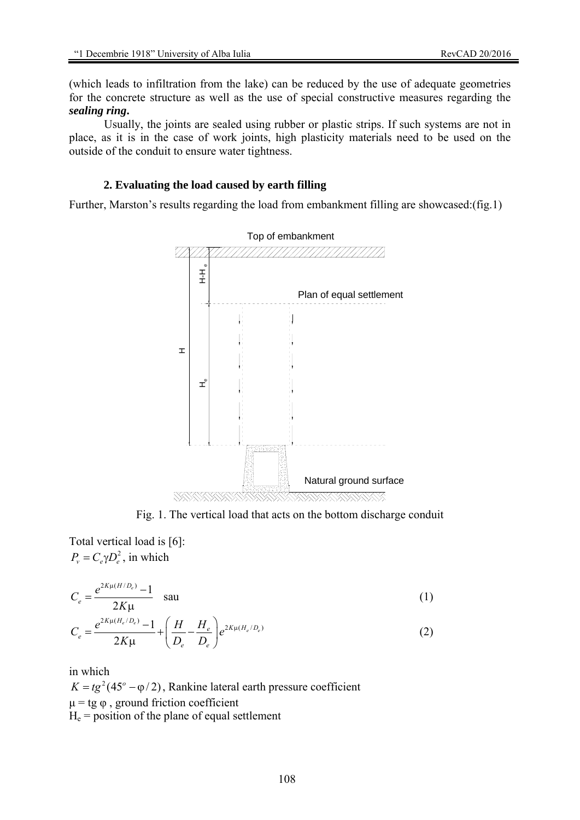(which leads to infiltration from the lake) can be reduced by the use of adequate geometries for the concrete structure as well as the use of special constructive measures regarding the *sealing ring***.** 

 Usually, the joints are sealed using rubber or plastic strips. If such systems are not in place, as it is in the case of work joints, high plasticity materials need to be used on the outside of the conduit to ensure water tightness.

#### **2. Evaluating the load caused by earth filling**

Further, Marston's results regarding the load from embankment filling are showcased:(fig.1)



Fig. 1. The vertical load that acts on the bottom discharge conduit

Total vertical load is [6]:  $P_v = C_e \gamma D_e^2$ , in which

$$
C_e = \frac{e^{2K\mu(H/D_e)} - 1}{2K\mu} \quad \text{sau} \tag{1}
$$

$$
C_e = \frac{e^{2K\mu(H_e/D_e)} - 1}{2K\mu} + \left(\frac{H}{D_e} - \frac{H_e}{D_e}\right) e^{2K\mu(H_e/D_e)}
$$
(2)

in which

 $K = tg^{2}(45^{\circ} - \varphi/2)$ , Rankine lateral earth pressure coefficient  $\mu$  = tg  $\varphi$ , ground friction coefficient  $H<sub>e</sub>$  = position of the plane of equal settlement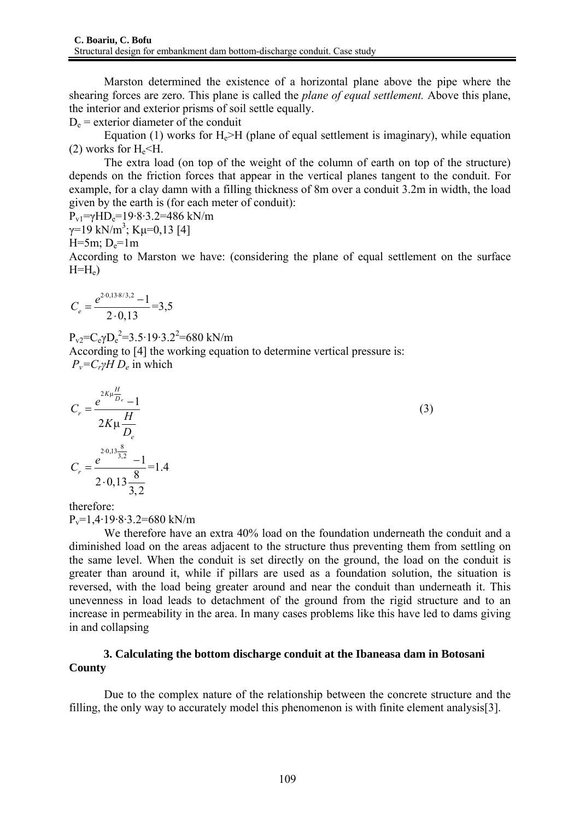Marston determined the existence of a horizontal plane above the pipe where the shearing forces are zero. This plane is called the *plane of equal settlement.* Above this plane, the interior and exterior prisms of soil settle equally.

 $D_e$  = exterior diameter of the conduit

Equation (1) works for  $H_e > H$  (plane of equal settlement is imaginary), while equation  $(2)$  works for H<sub>e</sub> $\leq$ H.

 The extra load (on top of the weight of the column of earth on top of the structure) depends on the friction forces that appear in the vertical planes tangent to the conduit. For example, for a clay damn with a filling thickness of 8m over a conduit 3.2m in width, the load given by the earth is (for each meter of conduit):

$$
P_{v1} = \gamma HD_e = 19.8.3.2 = 486 \text{ kN/m}
$$
  
 
$$
\gamma = 19 \text{ kN/m}^3; \text{ K} \mu = 0.13 \text{ [4]}
$$

 $H=5m$ ;  $D_e=1m$ 

According to Marston we have: (considering the plane of equal settlement on the surface  $H=H_e$ )

$$
C_e = \frac{e^{2 \cdot 0.13 \cdot 8/3,2} - 1}{2 \cdot 0.13} = 3.5
$$

 $P_{v2} = C_e \gamma D_e^2 = 3.5.19.3.2^2 = 680 \text{ kN/m}$ 

According to [4] the working equation to determine vertical pressure is:  $P_v = C_r \gamma H D_e$  in which

$$
C_r = \frac{e^{2K\mu \frac{H}{D_e}}}{2K\mu \frac{H}{D_e}}
$$
  
\n
$$
C_r = \frac{e^{2.0,13\frac{8}{3,2}} - 1}{2.0,13\frac{8}{3,2}} = 1.4
$$
\n(3)

therefore:

 $P_v=1.4.19.8.3.2=680$  kN/m

We therefore have an extra 40% load on the foundation underneath the conduit and a diminished load on the areas adjacent to the structure thus preventing them from settling on the same level. When the conduit is set directly on the ground, the load on the conduit is greater than around it, while if pillars are used as a foundation solution, the situation is reversed, with the load being greater around and near the conduit than underneath it. This unevenness in load leads to detachment of the ground from the rigid structure and to an increase in permeability in the area. In many cases problems like this have led to dams giving in and collapsing

## **3. Calculating the bottom discharge conduit at the Ibaneasa dam in Botosani County**

Due to the complex nature of the relationship between the concrete structure and the filling, the only way to accurately model this phenomenon is with finite element analysis[3].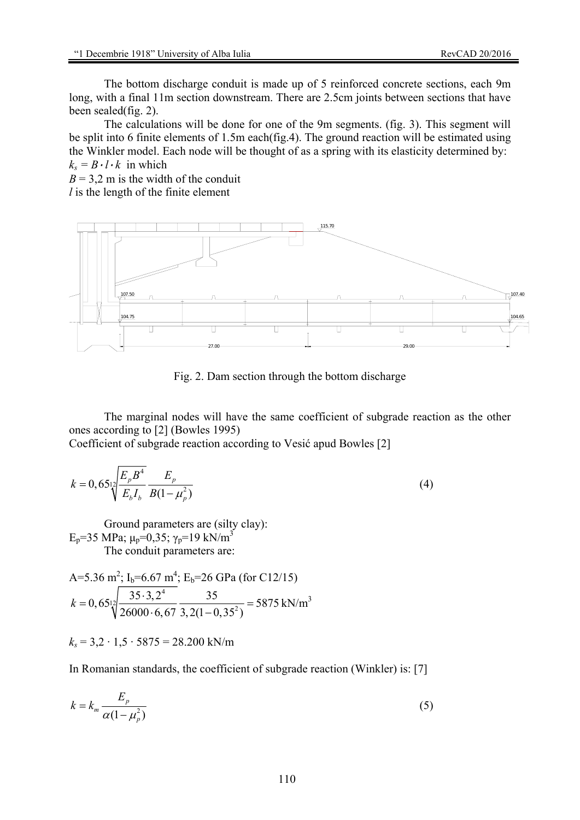The bottom discharge conduit is made up of 5 reinforced concrete sections, each 9m long, with a final 11m section downstream. There are 2.5cm joints between sections that have been sealed(fig. 2).

 The calculations will be done for one of the 9m segments. (fig. 3). This segment will be split into 6 finite elements of 1.5m each(fig.4). The ground reaction will be estimated using the Winkler model. Each node will be thought of as a spring with its elasticity determined by:  $k_s = B \cdot l \cdot k$  in which

 $B = 3.2$  m is the width of the conduit

*l* is the length of the finite element



Fig. 2. Dam section through the bottom discharge

 The marginal nodes will have the same coefficient of subgrade reaction as the other ones according to [2] (Bowles 1995)

Coefficient of subgrade reaction according to Vesić apud Bowles [2]

$$
k = 0,65 \sqrt[12]{\frac{E_p B^4}{E_b I_b}} \frac{E_p}{B(1 - \mu_p^2)}
$$
(4)

Ground parameters are (silty clay):  $E_p$ =35 MPa; μ<sub>p</sub>=0,35; γ<sub>p</sub>=19 kN/m<sup>3</sup> The conduit parameters are:

A=5.36 m<sup>2</sup>; I<sub>b</sub>=6.67 m<sup>4</sup>; E<sub>b</sub>=26 GPa (for C12/15)  
\n
$$
k = 0,65 \frac{1}{2} \frac{35 \cdot 3,2^4}{26000 \cdot 6,67 \cdot 3,2(1-0,35^2)} = 5875 \text{ kN/m}^3
$$

 $k_s$  = 3,2 · 1,5 · 5875 = 28.200 kN/m

In Romanian standards, the coefficient of subgrade reaction (Winkler) is: [7]

$$
k = k_m \frac{E_p}{\alpha (1 - \mu_p^2)}
$$
\n<sup>(5)</sup>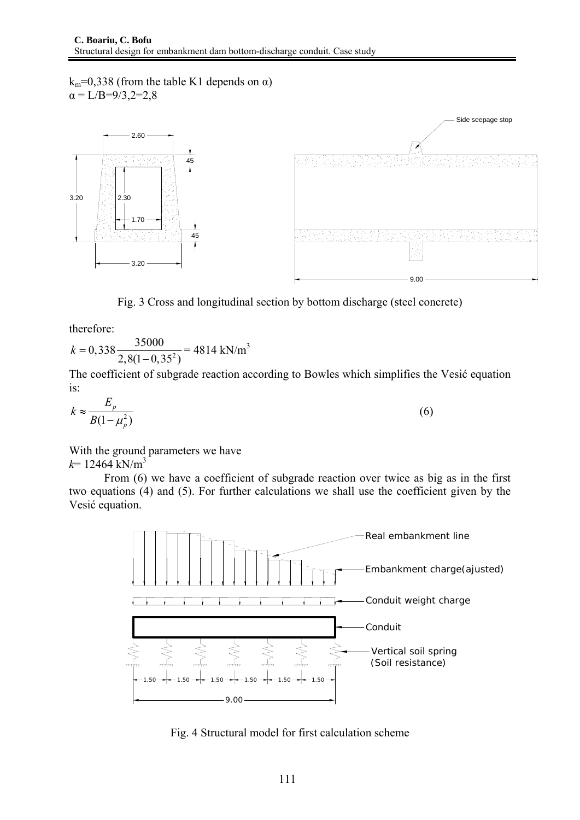$k_m=0,338$  (from the table K1 depends on  $\alpha$ )  $\alpha = L/B = 9/3, 2 = 2, 8$ 



Fig. 3 Cross and longitudinal section by bottom discharge (steel concrete)

therefore:

$$
k = 0,338 \frac{35000}{2,8(1 - 0,35^2)} = 4814 \text{ kN/m}^3
$$

The coefficient of subgrade reaction according to Bowles which simplifies the Vesić equation is:

$$
k \approx \frac{E_p}{B(1 - \mu_p^2)}\tag{6}
$$

With the ground parameters we have  $k = 12464$  kN/m<sup>3</sup>

 From (6) we have a coefficient of subgrade reaction over twice as big as in the first two equations (4) and (5). For further calculations we shall use the coefficient given by the Vesić equation.



Fig. 4 Structural model for first calculation scheme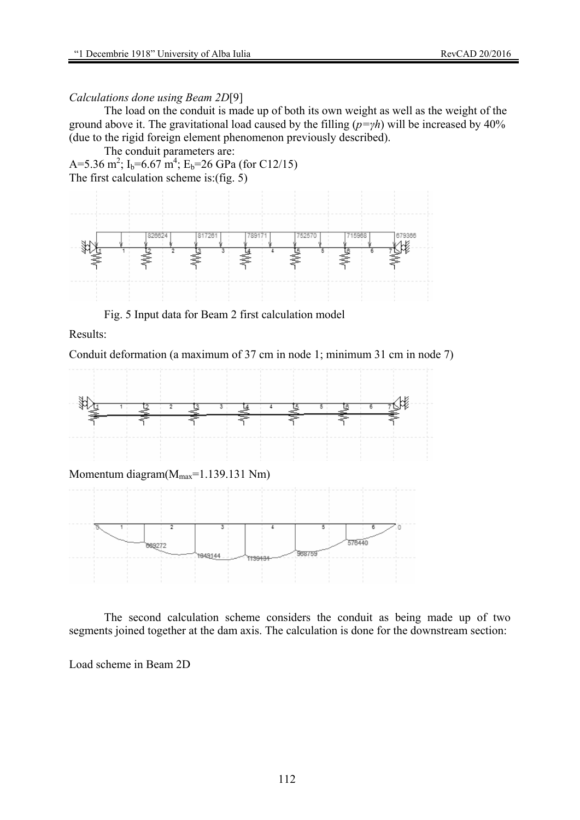### *Calculations done using Beam 2D*[9]

 The load on the conduit is made up of both its own weight as well as the weight of the ground above it. The gravitational load caused by the filling (*p=γh*) will be increased by 40% (due to the rigid foreign element phenomenon previously described).

 The conduit parameters are: A=5.36 m<sup>2</sup>; I<sub>b</sub>=6.67 m<sup>4</sup>; E<sub>b</sub>=26 GPa (for C12/15) The first calculation scheme is:(fig.  $5$ )



Fig. 5 Input data for Beam 2 first calculation model

Results:

Conduit deformation (a maximum of 37 cm in node 1; minimum 31 cm in node 7)



 The second calculation scheme considers the conduit as being made up of two segments joined together at the dam axis. The calculation is done for the downstream section:

Load scheme in Beam 2D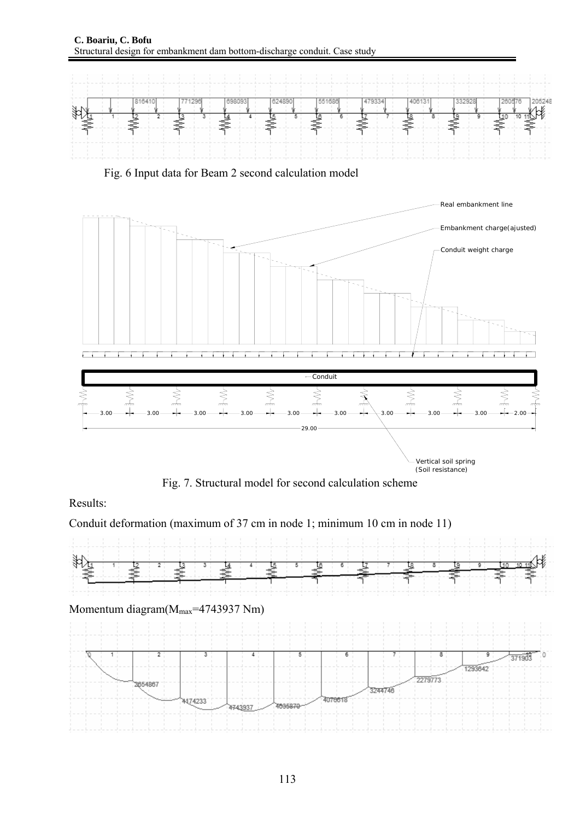

Fig. 6 Input data for Beam 2 second calculation model



Fig. 7. Structural model for second calculation scheme

Results:

Conduit deformation (maximum of 37 cm in node 1; minimum 10 cm in node 11)